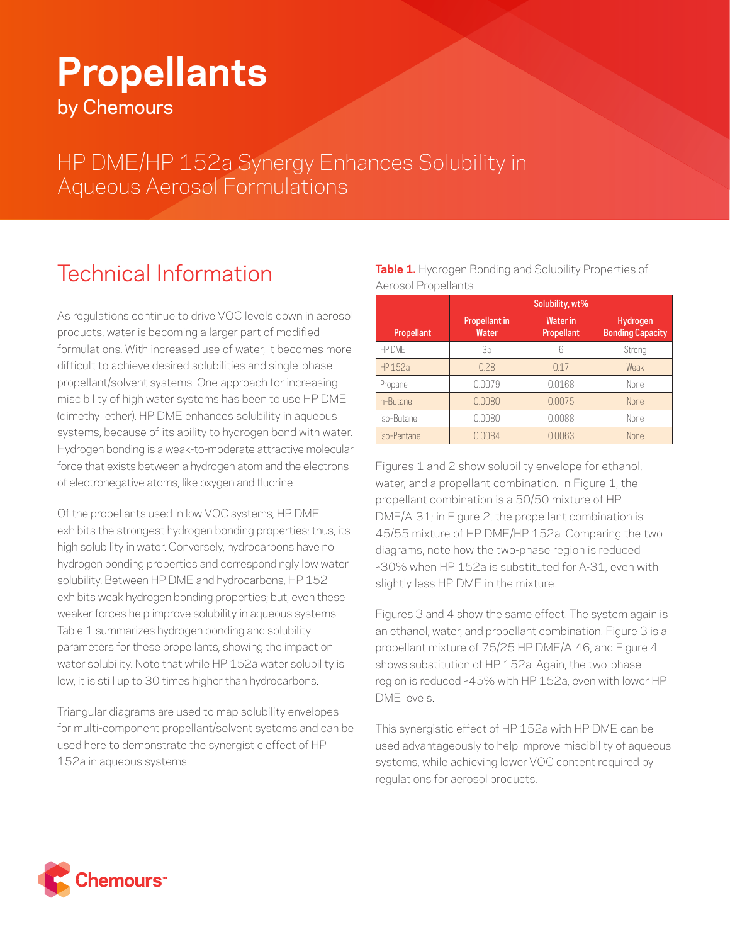## **Propellants**

by Chemours

HP DME/HP 152a Synergy Enhances Solubility in Aqueous Aerosol Formulations

## Technical Information

As regulations continue to drive VOC levels down in aerosol products, water is becoming a larger part of modified formulations. With increased use of water, it becomes more difficult to achieve desired solubilities and single-phase propellant/solvent systems. One approach for increasing miscibility of high water systems has been to use HP DME (dimethyl ether). HP DME enhances solubility in aqueous systems, because of its ability to hydrogen bond with water. Hydrogen bonding is a weak-to-moderate attractive molecular force that exists between a hydrogen atom and the electrons of electronegative atoms, like oxygen and fluorine.

Of the propellants used in low VOC systems, HP DME exhibits the strongest hydrogen bonding properties; thus, its high solubility in water. Conversely, hydrocarbons have no hydrogen bonding properties and correspondingly low water solubility. Between HP DME and hydrocarbons, HP 152 exhibits weak hydrogen bonding properties; but, even these weaker forces help improve solubility in aqueous systems. Table 1 summarizes hydrogen bonding and solubility parameters for these propellants, showing the impact on water solubility. Note that while HP 152a water solubility is low, it is still up to 30 times higher than hydrocarbons.

Triangular diagrams are used to map solubility envelopes for multi-component propellant/solvent systems and can be used here to demonstrate the synergistic effect of HP 152a in aqueous systems.

|                     | <b>Table 1.</b> Hydrogen Bonding and Solubility Properties of |
|---------------------|---------------------------------------------------------------|
| Aerosol Propellants |                                                               |

|                   | Solubility, wt%               |                               |                                     |
|-------------------|-------------------------------|-------------------------------|-------------------------------------|
| <b>Propellant</b> | <b>Propellant in</b><br>Water | <b>Water</b> in<br>Propellant | Hydrogen<br><b>Bonding Capacity</b> |
| HP DMF            | 35                            | 6                             | Strong                              |
| HP 152a           | 0.28                          | 0.17                          | Weak                                |
| Propane           | 0.0079                        | 0.0168                        | <b>None</b>                         |
| n-Butane          | 0.0080                        | 0.0075                        | None                                |
| iso-Butane        | 0.0080                        | 0.0088                        | <b>None</b>                         |
| iso-Pentane       | 0.0084                        | 0.0063                        | None                                |

Figures 1 and 2 show solubility envelope for ethanol, water, and a propellant combination. In Figure 1, the propellant combination is a 50/50 mixture of HP DME/A-31; in Figure 2, the propellant combination is 45/55 mixture of HP DME/HP 152a. Comparing the two diagrams, note how the two-phase region is reduced ~30% when HP 152a is substituted for A-31, even with slightly less HP DME in the mixture.

Figures 3 and 4 show the same effect. The system again is an ethanol, water, and propellant combination. Figure 3 is a propellant mixture of 75/25 HP DME/A-46, and Figure 4 shows substitution of HP 152a. Again, the two-phase region is reduced ~45% with HP 152a, even with lower HP DME levels.

This synergistic effect of HP 152a with HP DME can be used advantageously to help improve miscibility of aqueous systems, while achieving lower VOC content required by regulations for aerosol products.